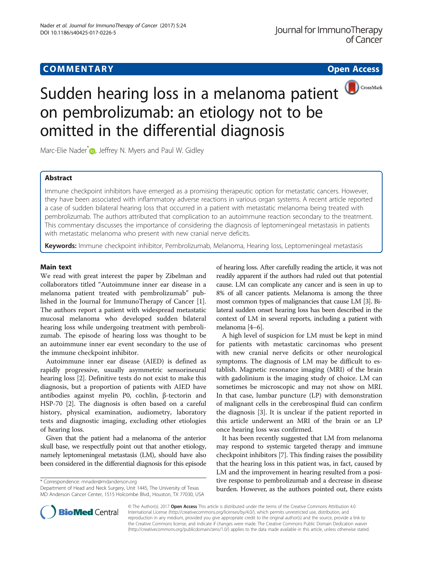# **COMMENTARY COMMENTARY Open Access**



# Sudden hearing loss in a melanoma patient **OCCOSSMark** on pembrolizumab: an etiology not to be omitted in the differential diagnosis

Marc-Elie Nader<sup>[\\*](http://orcid.org/0000-0001-9295-0174)</sup> <sub>(D</sub>, Jeffrey N. Myers and Paul W. Gidley

# Abstract

Immune checkpoint inhibitors have emerged as a promising therapeutic option for metastatic cancers. However, they have been associated with inflammatory adverse reactions in various organ systems. A recent article reported a case of sudden bilateral hearing loss that occurred in a patient with metastatic melanoma being treated with pembrolizumab. The authors attributed that complication to an autoimmune reaction secondary to the treatment. This commentary discusses the importance of considering the diagnosis of leptomeningeal metastasis in patients with metastatic melanoma who present with new cranial nerve deficits.

Keywords: Immune checkpoint inhibitor, Pembrolizumab, Melanoma, Hearing loss, Leptomeningeal metastasis

## Main text

We read with great interest the paper by Zibelman and collaborators titled "Autoimmune inner ear disease in a melanoma patient treated with pembrolizumab" published in the Journal for ImmunoTherapy of Cancer [\[1](#page-1-0)]. The authors report a patient with widespread metastatic mucosal melanoma who developed sudden bilateral hearing loss while undergoing treatment with pembrolizumab. The episode of hearing loss was thought to be an autoimmune inner ear event secondary to the use of the immune checkpoint inhibitor.

Autoimmune inner ear disease (AIED) is defined as rapidly progressive, usually asymmetric sensorineural hearing loss [\[2](#page-1-0)]. Definitive tests do not exist to make this diagnosis, but a proportion of patients with AIED have antibodies against myelin P0, cochlin, β-tectorin and HSP-70 [[2\]](#page-1-0). The diagnosis is often based on a careful history, physical examination, audiometry, laboratory tests and diagnostic imaging, excluding other etiologies of hearing loss.

Given that the patient had a melanoma of the anterior skull base, we respectfully point out that another etiology, namely leptomeningeal metastasis (LM), should have also been considered in the differential diagnosis for this episode

\* Correspondence: [mnader@mdanderson.org](mailto:mnader@mdanderson.org)

Department of Head and Neck Surgery, Unit 1445, The University of Texas MD Anderson Cancer Center, 1515 Holcombe Blvd., Houston, TX 77030, USA of hearing loss. After carefully reading the article, it was not readily apparent if the authors had ruled out that potential cause. LM can complicate any cancer and is seen in up to 8% of all cancer patients. Melanoma is among the three most common types of malignancies that cause LM [\[3](#page-1-0)]. Bilateral sudden onset hearing loss has been described in the context of LM in several reports, including a patient with melanoma [\[4](#page-1-0)–[6\]](#page-1-0).

A high level of suspicion for LM must be kept in mind for patients with metastatic carcinomas who present with new cranial nerve deficits or other neurological symptoms. The diagnosis of LM may be difficult to establish. Magnetic resonance imaging (MRI) of the brain with gadolinium is the imaging study of choice. LM can sometimes be microscopic and may not show on MRI. In that case, lumbar puncture (LP) with demonstration of malignant cells in the cerebrospinal fluid can confirm the diagnosis [[3\]](#page-1-0). It is unclear if the patient reported in this article underwent an MRI of the brain or an LP once hearing loss was confirmed.

It has been recently suggested that LM from melanoma may respond to systemic targeted therapy and immune checkpoint inhibitors [\[7](#page-1-0)]. This finding raises the possibility that the hearing loss in this patient was, in fact, caused by LM and the improvement in hearing resulted from a positive response to pembrolizumab and a decrease in disease burden. However, as the authors pointed out, there exists



© The Author(s). 2017 **Open Access** This article is distributed under the terms of the Creative Commons Attribution 4.0 International License [\(http://creativecommons.org/licenses/by/4.0/](http://creativecommons.org/licenses/by/4.0/)), which permits unrestricted use, distribution, and reproduction in any medium, provided you give appropriate credit to the original author(s) and the source, provide a link to the Creative Commons license, and indicate if changes were made. The Creative Commons Public Domain Dedication waiver [\(http://creativecommons.org/publicdomain/zero/1.0/](http://creativecommons.org/publicdomain/zero/1.0/)) applies to the data made available in this article, unless otherwise stated.